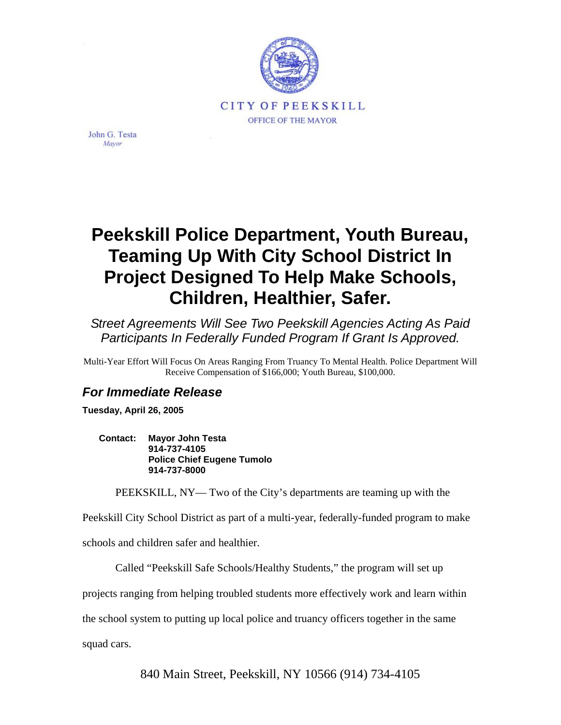

John G. Testa Mayor

## **Peekskill Police Department, Youth Bureau, Teaming Up With City School District In Project Designed To Help Make Schools, Children, Healthier, Safer.**

*Street Agreements Will See Two Peekskill Agencies Acting As Paid Participants In Federally Funded Program If Grant Is Approved.* 

Multi-Year Effort Will Focus On Areas Ranging From Truancy To Mental Health. Police Department Will Receive Compensation of \$166,000; Youth Bureau, \$100,000.

## *For Immediate Release*

**Tuesday, April 26, 2005** 

**Contact: Mayor John Testa 914-737-4105 Police Chief Eugene Tumolo 914-737-8000** 

PEEKSKILL, NY— Two of the City's departments are teaming up with the

Peekskill City School District as part of a multi-year, federally-funded program to make

schools and children safer and healthier.

Called "Peekskill Safe Schools/Healthy Students," the program will set up

projects ranging from helping troubled students more effectively work and learn within

the school system to putting up local police and truancy officers together in the same

squad cars.

840 Main Street, Peekskill, NY 10566 (914) 734-4105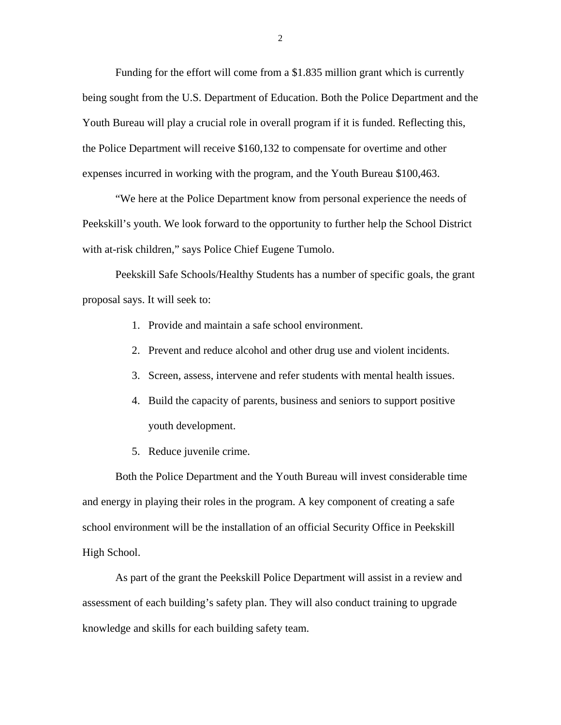Funding for the effort will come from a \$1.835 million grant which is currently being sought from the U.S. Department of Education. Both the Police Department and the Youth Bureau will play a crucial role in overall program if it is funded. Reflecting this, the Police Department will receive \$160,132 to compensate for overtime and other expenses incurred in working with the program, and the Youth Bureau \$100,463.

"We here at the Police Department know from personal experience the needs of Peekskill's youth. We look forward to the opportunity to further help the School District with at-risk children," says Police Chief Eugene Tumolo.

Peekskill Safe Schools/Healthy Students has a number of specific goals, the grant proposal says. It will seek to:

- 1. Provide and maintain a safe school environment.
- 2. Prevent and reduce alcohol and other drug use and violent incidents.
- 3. Screen, assess, intervene and refer students with mental health issues.
- 4. Build the capacity of parents, business and seniors to support positive youth development.
- 5. Reduce juvenile crime.

Both the Police Department and the Youth Bureau will invest considerable time and energy in playing their roles in the program. A key component of creating a safe school environment will be the installation of an official Security Office in Peekskill High School.

As part of the grant the Peekskill Police Department will assist in a review and assessment of each building's safety plan. They will also conduct training to upgrade knowledge and skills for each building safety team.

2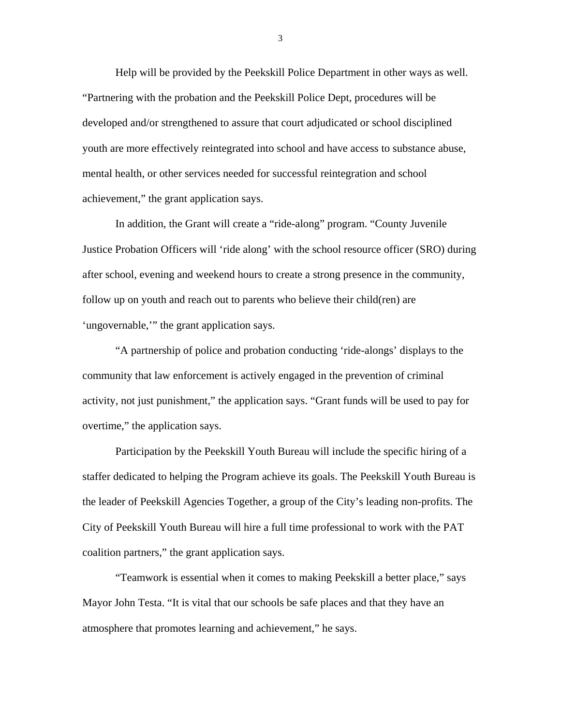Help will be provided by the Peekskill Police Department in other ways as well. "Partnering with the probation and the Peekskill Police Dept, procedures will be developed and/or strengthened to assure that court adjudicated or school disciplined youth are more effectively reintegrated into school and have access to substance abuse, mental health, or other services needed for successful reintegration and school achievement," the grant application says.

In addition, the Grant will create a "ride-along" program. "County Juvenile Justice Probation Officers will 'ride along' with the school resource officer (SRO) during after school, evening and weekend hours to create a strong presence in the community, follow up on youth and reach out to parents who believe their child(ren) are 'ungovernable,'" the grant application says.

"A partnership of police and probation conducting 'ride-alongs' displays to the community that law enforcement is actively engaged in the prevention of criminal activity, not just punishment," the application says. "Grant funds will be used to pay for overtime," the application says.

Participation by the Peekskill Youth Bureau will include the specific hiring of a staffer dedicated to helping the Program achieve its goals. The Peekskill Youth Bureau is the leader of Peekskill Agencies Together, a group of the City's leading non-profits. The City of Peekskill Youth Bureau will hire a full time professional to work with the PAT coalition partners," the grant application says.

"Teamwork is essential when it comes to making Peekskill a better place," says Mayor John Testa. "It is vital that our schools be safe places and that they have an atmosphere that promotes learning and achievement," he says.

3